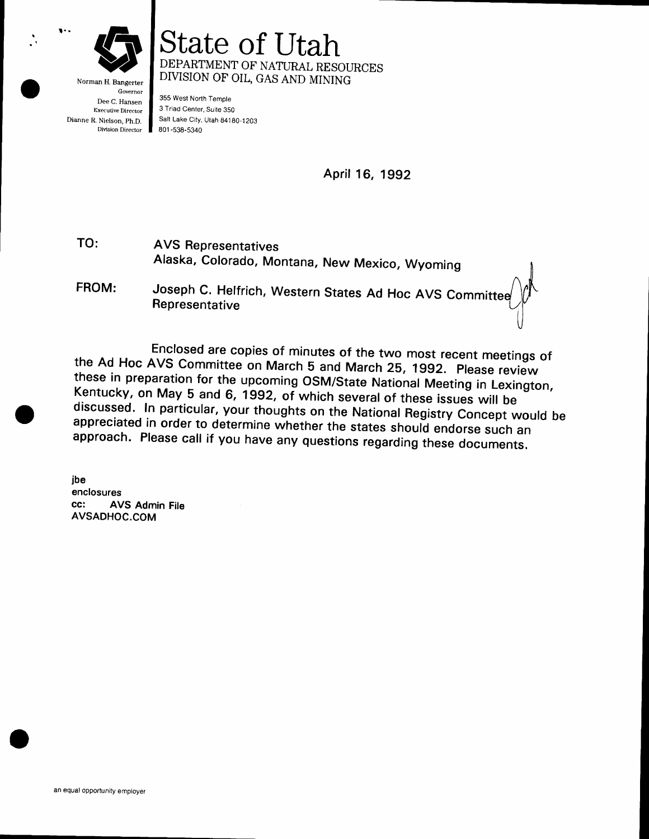

Norman H. Bangerter Governor Dee C. Hansen Executive Director Dianne R. Nielson, ph.D. Division Director

State of lJtah DEPARTMENT OF NATURAL RESOURCES DIVISION OF'OIL, GAS AND MINING

355 West North Temple 3 Triad Center, Suite 350 Salt Lake City, Utah 84180-1203 801 -538-5340

April 16, 1992

AVS Representatives Alaska, colorado, Montana, New Mexico, wyoming TO: FROM:

Joseph C. Helfrich, Western States Ad Hoc AVS Committeendepresentative  $\mathbf{e}$ 

Enclosed are copies of minutes of the two most recent meetings of<br>the Ad Hoc AVS Committee on March 5 and March 25, 1992. Please review<br>these in preparation for the upcoming OSM/State National Meeting in Lexington,<br>Kentuck

jbe enclosures cc: AVS Admin File AVSADHOC.COM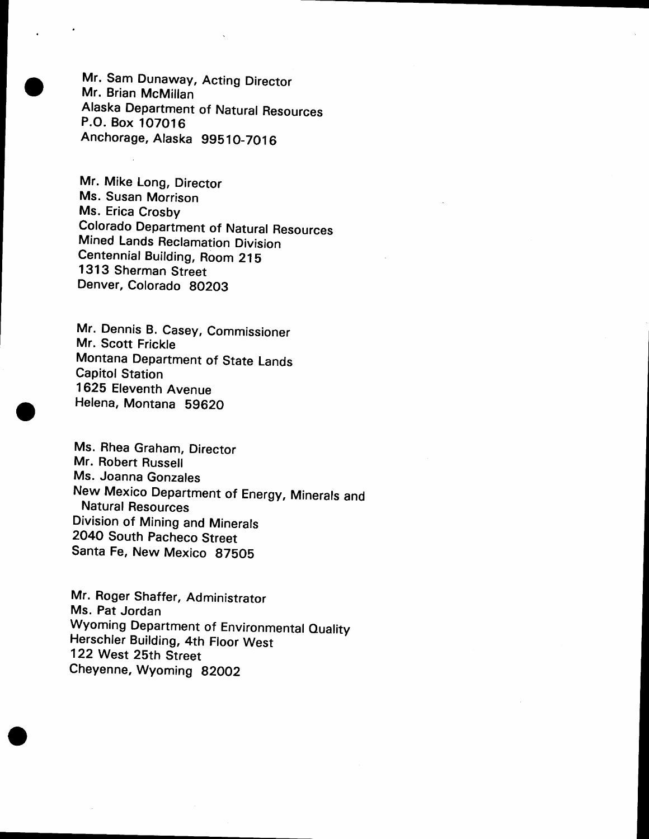Mr. Sam Dunaway, Acting Director Mr. Brian McMillan Alaska Department of Natural Resources P.O. Box 107OlG Anchordge, Alaska 99510-7016

Mr. Mike Long, Director Ms. Susan Morrison Ms. Erica Crosby colorado Department of Natural Resources Mined Lands Reclamation Division Centennial Building, Room Z1S 1313 Sherman Street Denver, Colorado BO2O3

Mr. Dennis B. Casey, Commissioner Mr. Scott Frickle Montana Department of State Lands Capitol Station 1625 Eleventh Avenue Helena, Montana 59620

Ms. Rhea Graham, Director Mr. Robert Russell Ms. Joanna Gonzales New Mexico Department of Energy, Minerals and Natural Resources Division of Mining and Minerals 2O4O South Pacheco Street Santa Fe, New Mexico 87505

Mr. Roger Shaffer, Administrator Ms. Pat Jordan Wyoming Department of Environmental Quality Herschler Building, 4th Floor West 122 West 25th Street Cheyenne, Wyoming 82002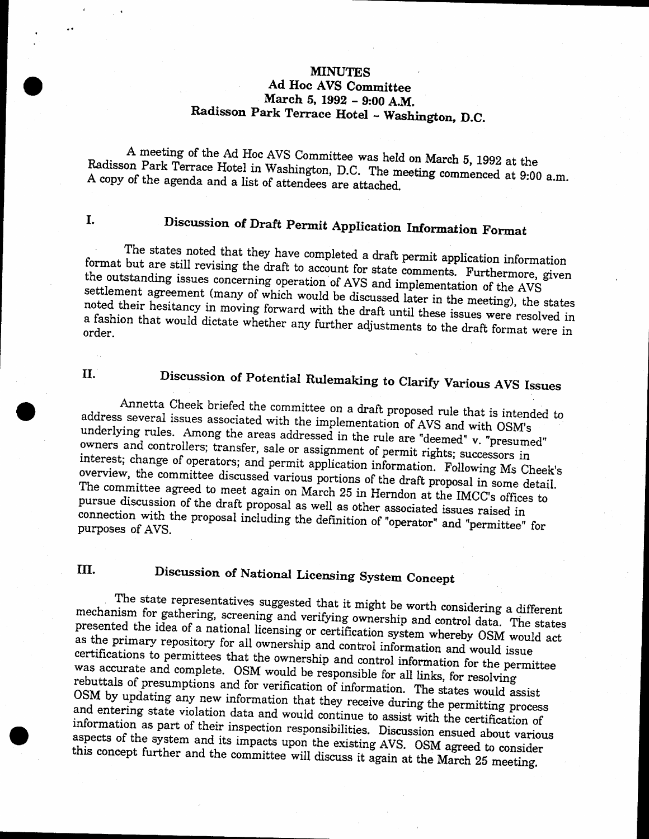# **MINUTES** Ad Hoc AVS Committee<br>March 5, 1992 - 9:00 A.M.

### Radisson Park Terrace Hotel - Washington, D.C.

Radisson Park A meeting of the Ad Hoc AVS Committee was held on March 5, 1992 at the A meeting of the Ad Hoc AVS Committee was held on March 5, 1992 at the Radisson Park Terrace Hotel in Washington, D.C. The meeting commenced at 9:00 a.m. A copy of the agenda and a list of attendees are attached.

# I. Discussion of Draft Permit Application Information Format

The states noted that they have completed a draft permit application information the outstanding format but are still revising the draft to account for state comments. Furthermore, given<br>the outstanding issues concerning operation of AVS and implementation of the AVS are outstanding issues concerning operation of AVS and implementation of the AVS<br>settlement agreement (many of which would be discussed later in the manifold of noted their hesitancy of which would be discussed later in the meeting), the states a fashion that would noted their hesitancy in moving forward with the draft until these issues were resolved in<br>a fashion that would dictate whether any further adjustments to the draft format were in<br>order.

# II. Discussion of Potential Rulemaking to Clarify Various AVS Issues

address several Annetta Cheek briefed the committee on a draft proposed rule that is intended to<br>s several issues associated with the invalue of the second proposed rule that is intended to underlying eral issues associated with the implementation of AVS and with OSM's<br>rules. Among the areas addressed in the rule are "deemed" v. "presumed" owners and controllers; transfer, sale or assignment of permit rights; successors in interest; change of operators; and permit application information. Following Ms Cheek's overview, interest; change of operators; and permit application information. Following Ms Cheek's overview, the committee discussed various portions of the draft proposal in some detail.<br>The committee agreed to meet again on March 2 pursue discussion The committee agreed to meet again on March 25 in Herndon at the IMCC's offices to The committee agreed to meet again on March 25 in Herndon at the IMCC's offices to pursue discussion of the draft proposal as well as other associated issues raised in connection with the proposal including the definition connection with the proposal including the definition of "operator" and "permittee" for purposes of AVS.

## III. Discussion of National Licensing System Concept

The state representatives suggested that it might be worth considering a different presented the idea of a national licensing or certification system whereby OSM would act<br>as the primary repository for all ownership and such his setting whereby OSM would act mechanism for gathering, screening and verifying ownership and control data. The states as the primary repository for all ownership and control information and would issue certiflrcations as the primary repository for all ownership and control information and would accertifications to permittees that the ownership and control information and would issue<br>was accurate and complete. OSM would be responsible fo rebuttals of presumptions and for verification of information. The states would assist OSM by updating any new information that they receive during the permitting process was accurate and complete. OSM would be responsible for all links, for resolving<br>rebuttals of presumptions and for verification of information. The states would assist<br>OSM by updating any new information that they receive aspects of the system and its impacts upon the existing AVS. OSM agreed to consider information as part of their inspection responsibilities. Discussion ensued about various this concept further and the committee will discuss it again at the March 25 meeting.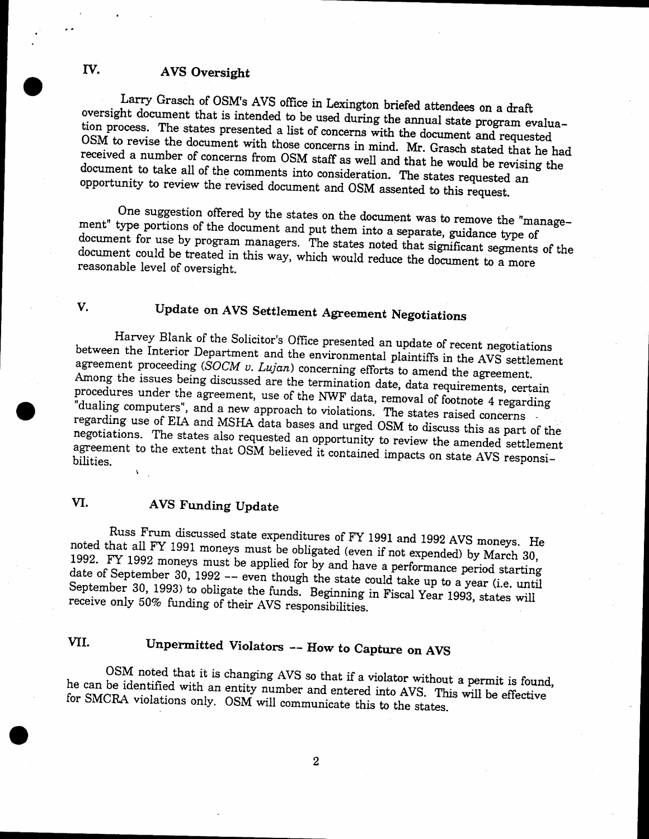#### fV. AVS Oversight

Larry Grasch of OSM's AVS office in Lexington briefed attendees on a draft oversight document that is intended to be used during the annual state program evalua- $\overline{OSM}$  to revise the document with those concerns in mind. Mr. Grasch stated that he had requested a number of concerns from  $\overline{OSM}$  to  $\mathcal{C}$ tion process. The states presented a list of concerns with the document and requested received a number of concerns from OSM staff as well and that he would be revising the<br>document to take all of the comments integral in the set of the series of document opportunity to take all of the comments into consideration. The states requested an to review the revised document and OSM assented to this request. ai

One suggestion offered by the states on the document was to remove the "manage-ment" type portions of the document and put them into a separate, guidance type of document could be treated in this way, which would reduce the document to a more<br>reasonable level of oversight. document for use by program managers. The states noted that significant segments of the reasonable level of oversight.

## V, Update on AVS Settlement Agreement Negotiations

Harvey Blank of the Solicitor's Office presented an update of recent negotiations between the Interior Department and the environmental plaintiffs in the AVS settlement agreement proceeding  $(SOCM v. Lujan)$  concerning efforts procedures Among the issues being discussed are the termination date, data requirements, certain<br>procedures under the agreement, use of the NWF data, removal of footnote 4 regarding<br>"dualing computers", and a new approach to violatio negotiations. The states also requested an opportunity to review the amended settlement<br>agreement to the extent that OSM believed it contained innect. rdualing computers", and a new approach to violations. The states raised concerns<br>regarding use of EIA and MSHA data bases and urged OSM to discuss this as part of the agreement to the extent that OSM believed it contained impacts on state AVS responsi-<br>bilities. r

#### VI. AVS Funding Update

noted that all FY 1991 moneys must be obligated (even if not expended) by March 30,<br>1992. FY 1992 moneys must be applied for the strategy of the expended) by March 30, Russ Frum discussed state expenditures of FY 1991 and 1992 AVS moneys. He 1992. FY 1992 moneys must be applied for by and have a performance period starting<br>date of Sentember 30, 1992 date of September 30, 1992 -- even though the state could take up to a year (i.e. until september date of September 30, 1992 -- even though the state could take up to a year (i.e. until<br>September 30, 1993) to obligate the funds. Beginning in Fiscal Year 1993, states will<br>receive only 50% funding of their AVS responsibi

### VII. Unpermitted Violators -- How to Capture on AVS

he OSM noted that it is changing AVS so that if a violator without a permit is found,<br>he can be identified with an entity number and entered into AVS. This will be effective<br>for SMCRA violations only. OSM will communicate thi

 $\boldsymbol{2}$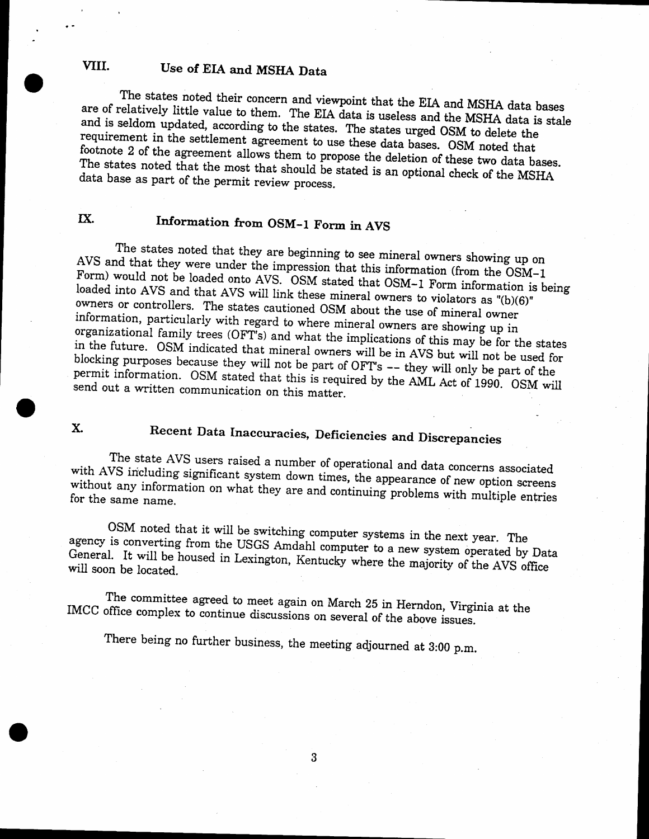#### VIII. Use of EIA and MSHA Data

The states noted their concern and viewpoint that the EIA and MSHA data bases<br>are of relatively little value to them. The EIA data is useless with MSTA data bases and is seldom relatively little value to them. The EIA data is useless and the MSHA data is stale<br>seldom undated according to the states. The state is the MSHA data is stale requirement in the settlement agreement to use these data bases. OSM noted that footnote 2 of the agreement allows them to propose the deletion of these two data bases. data base as part noted that the most that should be stated is an optional check of the MSHA s part of the permit review process.

#### IX. Information from OSM-1 Form in AVS

Avs and that The states noted that they are beginning to see mineral owners showing up on The states noted that they are beginning to see mineral owners showing up on AVS and that they were under the impression that this information (from the OSM-l norm) would not be loaded onto AVS, OSM stated that OSM-1 Form Form) would not be loaded onto AVS. OSM stated that OSM-1 Form information is being loaded into AVS and that AVS will link these mineral owners to violators as "(b)(6)" owners or controllers. The states cautioned OSM about the use of mineral owner organizational family trees (OFT's) and what the implications of this may be for the states<br>in the future. OSM indicated that mineral security is in this may be for the states information, particularly with regard to where mineral owners are showing up in in the future. OSM indicated that mineral owners will be in AVS but will not be used for blocking purposes in the future. OSM indicated that mineral owners will be in AVS but will not be used for blocking purposes because they will not be part of OFT's  $-$  they will only be part of the permit information. OSM stated that this send out a written communication on this matter.  $\overline{O}$  OSM stated that this is required by the AML Act of 1990. OSM will communication on this matter.

# X. Recent Data Inaccuracies, Deficiencies and Discrepancies

The state AVS users raised a number of operational and data concerns associated<br>with AVS including significant system down times, the appearance of new option screens without any information on what they are and continuing problems with multiple entries for the same name.

agency is converting from the USGS Amdahl computer to a new system operated by Data<br>General. It will be housed in Lavington, Kapturk, and the system operated by Data  $\text{OSM}$  noted that it will be switching computer systems in the next year. The is converting from the USCS Apple 11 General. It will be housed in Lexington, Kentucky where the majority of the AVS office<br>will soon be located. will soon be located.

The committee agreed to meet again on March 25 in Herndon, Virginia at the IMCC office complex to continue discussions on several of the above issues.

There being no further business, the meeting adjourned at 3:00 p.m.

3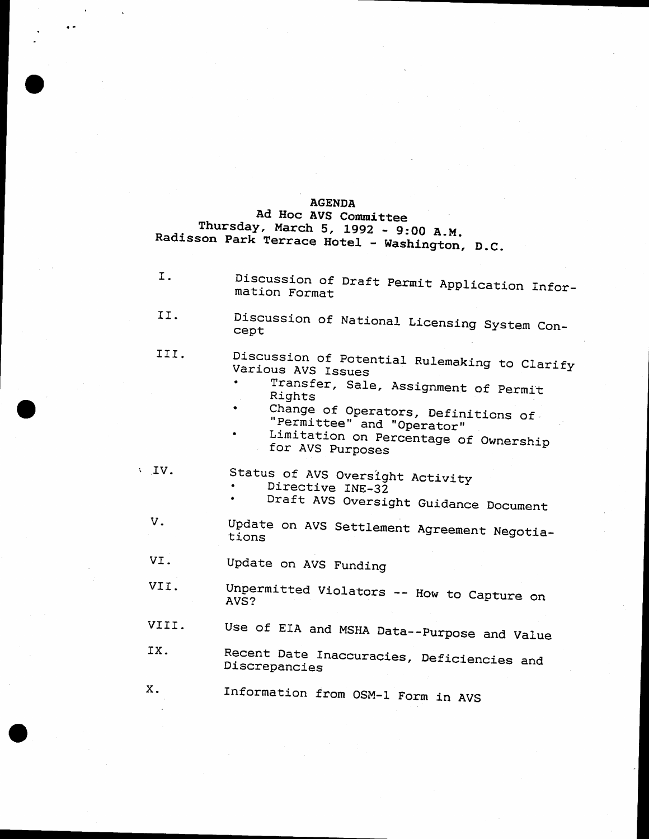#### **AGENDA**

Ad Hoc AVS Committee Thursday, March 5, 1992 - 9:00 A.M. Radisson Park Terrace Hotel - Washington, D.C.

I. Discussion of Draft Permit Application Information Format II. Discussion of National Licensing System Concept Discussion of Potential Rulemaking to Clarify III. Various AVS Issues Transfer, Sale, Assignment of Permit Rights Change of Operators, Definitions of "Permittee" and "Operator" Limitation on Percentage of Ownership for AVS Purposes Status of AVS Oversight Activity  $\sqrt{IV}$ . Directive INE-32 Draft AVS Oversight Guidance Document V. Update on AVS Settlement Agreement Negotiations VI. Update on AVS Funding Unpermitted Violators -- How to Capture on VII. AVS? VIII. Use of EIA and MSHA Data -- Purpose and Value IX. Recent Date Inaccuracies, Deficiencies and Discrepancies X. Information from OSM-1 Form in AVS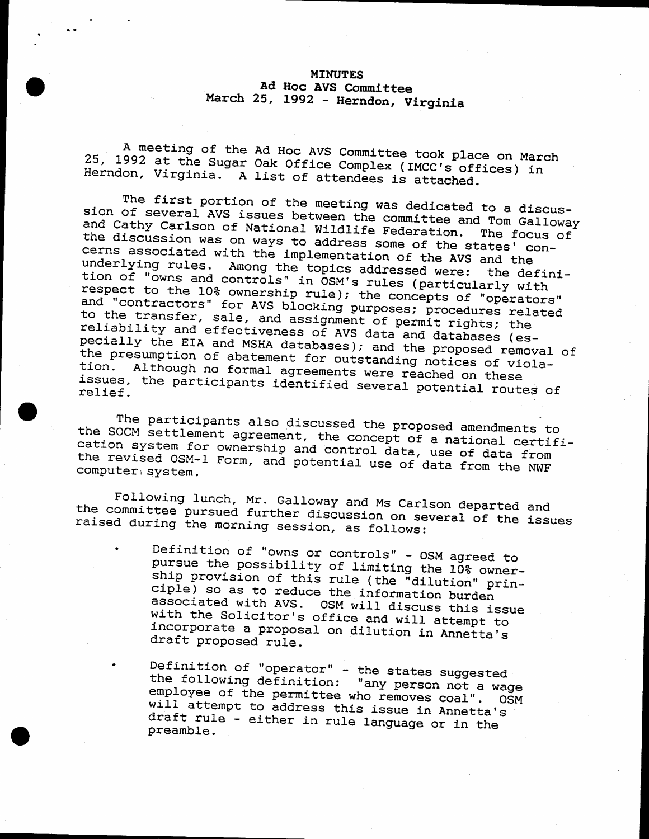#### MINUTES Ad Hoc AVS Committee<br>March 25, 1992 - Herndon, Virginia

25, 1992 at A meeting of the Ad Hoc AVS Committee took place on March A meeting of the Ad Hoc AVS Committee took place on March<br>25, 1992 at the Sugar Oak Office Complex (IMCC's offices) in<br>Herndon, Virginia. A list of attendees is attached.

sion of several AVS issues between the committee and Tom Galloway<br>and Cathy Carlson of National Wildlife Federation . The famous way The first portion of the meeting was dedicated to a discus-<br>Of several AVS issues between the committee and T. 1996 and suchy carrson or national Wildlife Federation. The focus<br>the discussion was on ways to address some of the states' con-<br>cerns associated with the implementation and Cathy Carlson of National Wildlife Federation. The focus of The decoussion was on ways to address some of the states' corns associated with the implementation of the AVS and the<br>underlying rules. Among the tonics addressed www.... underlying rules. Among the topics addressed were: the definition of "owns and controls" in OSM's rules (particularly with respect to the 10% ownership rule); the concepts of "operators" and "contractors" for AVS blocking to the transfer, sale, and assignment of permit rights; the reliability and effectiveness of AVS data and databases (especially the EIA and MSHA databases); and the proposed removal of<br>the presumption of abatement for outstanding notices of viola-<br>tion. Although no formal agreements were reached on these of pecially the EIA and MSHA databases); and the proposed removal of<br>the presumption of abatement for outstanding notices of viola-<br>tion. Although no formal agreements were reached as () issues, the participants identified several potential routes of

the SOCM settlement agreement, the concept of a national certif.<br>Cation system for ownership and control data, we as date of The participants also discussed the proposed amendments to<br>OCM settlement agreement, the concent of a national such the Journ Bystem for ownership and control data, use of data from<br>the revised OSM-1 Form, and potential use of data from the NWF<br>computer system. omont agreement, the concept of a national certi<br>for ownership and control data, use of data from

Toffer and Ms Carlson departed and<br>the committee pursued further discussion on several of the issues<br>raised during the morning session, as follows: Following lunch' Mr- Galloway and Ms carlson departed and raised during the morning session, as follows:<br>• Definition of "owns or controls" - OSM agreed to

- pursue Definition of "owns or controls" - OSM agreed to<br>pursue the possibility of limiting the 10% owner-<br>ship provision of this rule (the "dilution" prin-<br>ciple) so as to reduce the information burden ciple) so as to reduce the information burden<br>associated with AVS. OSM will discuss this issue<br>with the Solicitor's office and will attempt to<br>incorporate a proposal on dilution in Annetta's<br>draft proposed rule. incorporate a proposal on dilution in Annetta's
- · Definition<br>
the faller the following definition: "any person not a wage<br>employee of the permittee who removes coal". OSM<br>will attempt to address this issue in Annetta's need evectory to address this issue in Annetta'<br>draft rule – either in rule language or in the<br>preamble.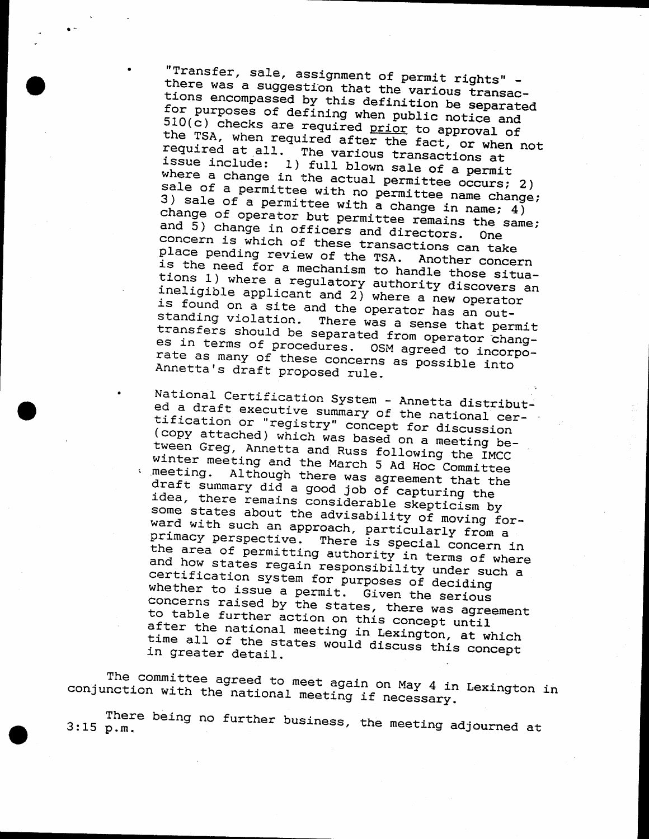"Transfer, sale, assignment of permit rights" there was a suggestion that the various transactions encompassed by this definition be separated for purposes of defining when public notice and  $510(c)$  checks are required prior to approval of the TSA, when required after the fact, or when not required at all. The various transactions at issue include: 1) full blown sale of a permit where a change in the actual permittee occurs; 2) sale of a permittee with no permittee name change; 3) sale of a permittee with a change in name;  $4)$ change of operator but permittee remains the same; and 5) change in officers and directors. concern is which of these transactions can take place pending review of the TSA. Another concern is the need for a mechanism to handle those situations 1) where a regulatory authority discovers an ineligible applicant and 2) where a new operator is found on a site and the operator has an outstanding violation. There was a sense that permit transfers should be separated from operator changes in terms of procedures. OSM agreed to incorporate as many of these concerns as possible into Annetta's draft proposed rule.

National Certification System - Annetta distributed a draft executive summary of the national certification or "registry" concept for discussion (copy attached) which was based on a meeting between Greg, Annetta and Russ following the IMCC winter meeting and the March 5 Ad Hoc Committee Although there was agreement that the meeting. draft summary did a good job of capturing the idea, there remains considerable skepticism by some states about the advisability of moving forward with such an approach, particularly from a primacy perspective. There is special concern in the area of permitting authority in terms of where and how states regain responsibility under such a certification system for purposes of deciding whether to issue a permit. Given the serious concerns raised by the states, there was agreement to table further action on this concept until after the national meeting in Lexington, at which time all of the states would discuss this concept in greater detail.

The committee agreed to meet again on May 4 in Lexington in conjunction with the national meeting if necessary.

There being no further business, the meeting adjourned at  $3:15 p.m.$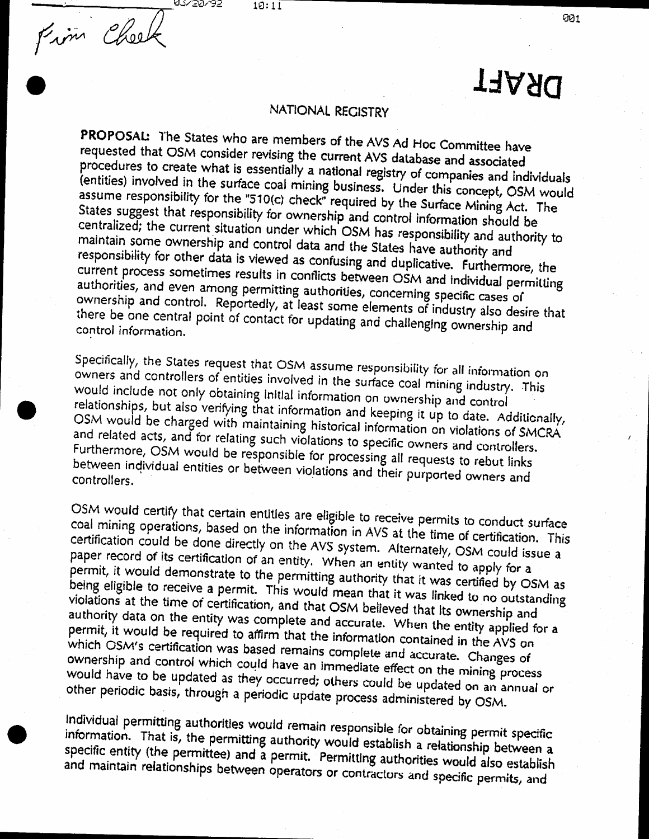$10:11$ 

63450495

Fim Cheek

# **TAARD**

#### NATIONAL RECISTRY

PROPOSAL: The States who are members of the AVS Ad Hoc Committee have requested that OSM consider revising the current AVS database and associated procedures to create what is essentially a national registry of companies and individuals (entities) involved in the surface coal mining business. Under this concept, OSM would assume responsibility for the "510(c) check" required by the Surface Mining Act. The States suggest that responsibility for ownership and control information should be centralized; the current situation under which OSM has responsibility and authority to maintain some ownership and control data and the States have authority and responsibility for other data is viewed as confusing and duplicative. Furthermore, the current process sometimes results in conflicts between OSM and individual permitting authorities, and even among permitting authorities, concerning specific cases of ownership and control. Reportedly, at least some elements of industry also desire that there be one central point of contact for updating and challenging ownership and control information.

Specifically, the States request that OSM assume responsibility for all information on owners and controllers of entities involved in the surface coal mining industry. This would include not only obtaining initial information on ownership and control relationships, but also verifying that information and keeping it up to date. Additionally, OSM would be charged with maintaining historical information on violations of SMCRA and related acts, and for relating such violations to specific owners and controllers. Furthermore, OSM would be responsible for processing all requests to rebut links between individual entities or between violations and their purported owners and

OSM would certify that certain entitles are eligible to receive permits to conduct surface coal mining operations, based on the information in AVS at the time of certification. This certification could be done directly on the AVS system. Alternately, OSM could issue a paper record of its certification of an entity. When an entity wanted to apply for a permit, it would demonstrate to the permitting authority that it was certified by OSM as being eligible to receive a permit. This would mean that it was linked to no outstanding violations at the time of certification, and that OSM believed that Its ownership and authority data on the entity was complete and accurate. When the entity applied for a permit, it would be required to affirm that the information contained in the AVS on which OSM's certification was based remains complete and accurate. Changes of ownership and control which could have an immediate effect on the mining process would have to be updated as they occurred; others could be updated on an annual or other periodic basis, through a periodic update process administered by OSM.

Individual permitting authorities would remain responsible for obtaining permit specific information. That is, the permitting authority would establish a relationship between a specific entity (the permittee) and a permit. Permitting authorities would also establish and maintain relationships between operators or contractors and specific permits, and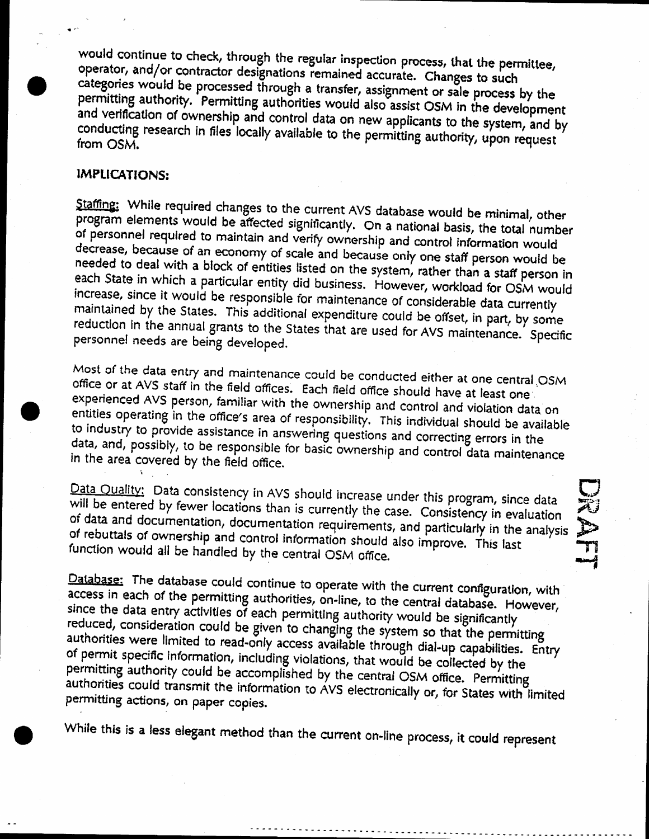would continue to check, through the regular inspection process, that the permittee, operator, and/or contractor designations remained accurate. Changes to such categories would be processed through a transfer, assignment or sale process by the permitting authority. Permitting authorities would also assist OSM in the development and verification of ownership and control data on new applicants to the system, and by conducting research in files locally available to the permitting authority, upon request from OSM.

#### IMPLICATIONS:

Staffing: While required changes to the current AVS database would be minimal, other program elements would be affected significantly. On a national basis, the total number of personnel required to maintain and verify ownership and control information would decrease, because of an economy of scale and because only one staff person would be needed to deal with a block of entities listed on the system, rather than a staff person in each State in which a particular entity did business. However, workload for OSM would increase, since it would be responsible for maintenance of considerable data currently maintained by the States. This additional expenditure could be offset, in part, by some reduction in the annual grants to the States that are used for AVS maintenance. Specific personnel needs are being developed.

Most of the data entry and maintenance could be conducted either at one central OSM office or at AVS staff in the field offices. Each field office should have at least one experienced AVS person, familiar with the ownership and control and violation data on entities operating in the office's area of responsibility. This individual should be available to industry to provide assistance in answering questions and correcting errors in the data, and, possibly, to be responsible for basic ownership and control data maintenance in the area covered by the field office.

Data Quality: Data consistency in AVS should increase under this program, since data will be entered by fewer locations than is currently the case. Consistency in evaluation of data and documentation, documentation requirements, and particularly in the analysis of rebuttals of ownership and control information should also improve. This last function would all be handled by the central OSM office.

**NOME** 

Database: The database could continue to operate with the current configuration, with access in each of the permitting authorities, on-line, to the central database. However, since the data entry activities of each permitting authority would be significantly reduced, consideration could be given to changing the system so that the permitting authorities were limited to read-only access available through dial-up capabilities. Entry of permit specific information, including violations, that would be collected by the permitting authority could be accomplished by the central OSM office. Permitting authorities could transmit the information to AVS electronically or, for States with limited permitting actions, on paper copies.

While this is a less elegant method than the current on-line process, it could represent